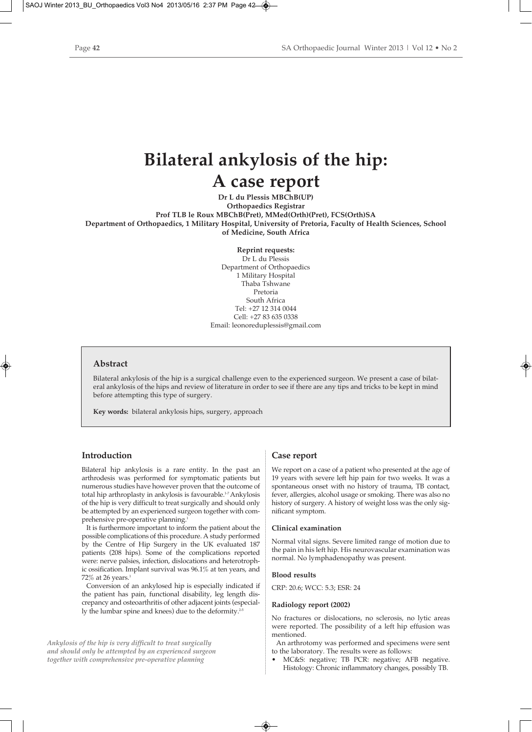# **Bilateral ankylosis of the hip: A case report**

**Dr L du Plessis MBChB(UP) Orthopaedics Registrar Prof TLB le Roux MBChB(Pret), MMed(Orth)(Pret), FCS(Orth)SA Department of Orthopaedics, 1 Military Hospital, University of Pretoria, Faculty of Health Sciences, School of Medicine, South Africa**

> **Reprint requests:** Dr L du Plessis Department of Orthopaedics 1 Military Hospital Thaba Tshwane Pretoria South Africa Tel: +27 12 314 0044 Cell: +27 83 635 0338 Email: leonoreduplessis@gmail.com

#### **Abstract**

Bilateral ankylosis of the hip is a surgical challenge even to the experienced surgeon. We present a case of bilateral ankylosis of the hips and review of literature in order to see if there are any tips and tricks to be kept in mind before attempting this type of surgery.

**Key words:** bilateral ankylosis hips, surgery, approach

#### **Introduction**

Bilateral hip ankylosis is a rare entity. In the past an arthrodesis was performed for symptomatic patients but numerous studies have however proven that the outcome of total hip arthroplasty in ankylosis is favourable.<sup>1-7</sup> Ankylosis of the hip is very difficult to treat surgically and should only be attempted by an experienced surgeon together with comprehensive pre-operative planning.<sup>1</sup>

It is furthermore important to inform the patient about the possible complications of this procedure. A study performed by the Centre of Hip Surgery in the UK evaluated 187 patients (208 hips). Some of the complications reported were: nerve palsies, infection, dislocations and heterotrophic ossification. Implant survival was 96.1% at ten years, and 72% at 26 years.<sup>1</sup>

Conversion of an ankylosed hip is especially indicated if the patient has pain, functional disability, leg length discrepancy and osteoarthritis of other adjacent joints (especially the lumbar spine and knees) due to the deformity.<sup>2</sup>

*Ankylosis of the hip is very difficult to treat surgically and should only be attempted by an experienced surgeon together with comprehensive pre-operative planning*

#### **Case report**

We report on a case of a patient who presented at the age of 19 years with severe left hip pain for two weeks. It was a spontaneous onset with no history of trauma, TB contact, fever, allergies, alcohol usage or smoking. There was also no history of surgery. A history of weight loss was the only significant symptom.

#### **Clinical examination**

Normal vital signs. Severe limited range of motion due to the pain in his left hip. His neurovascular examination was normal. No lymphadenopathy was present.

#### **Blood results**

CRP: 20.6; WCC: 5.3; ESR: 24

#### **Radiology report (2002)**

No fractures or dislocations, no sclerosis, no lytic areas were reported. The possibility of a left hip effusion was mentioned.

An arthrotomy was performed and specimens were sent to the laboratory. The results were as follows:

• MC&S: negative; TB PCR: negative; AFB negative. Histology: Chronic inflammatory changes, possibly TB.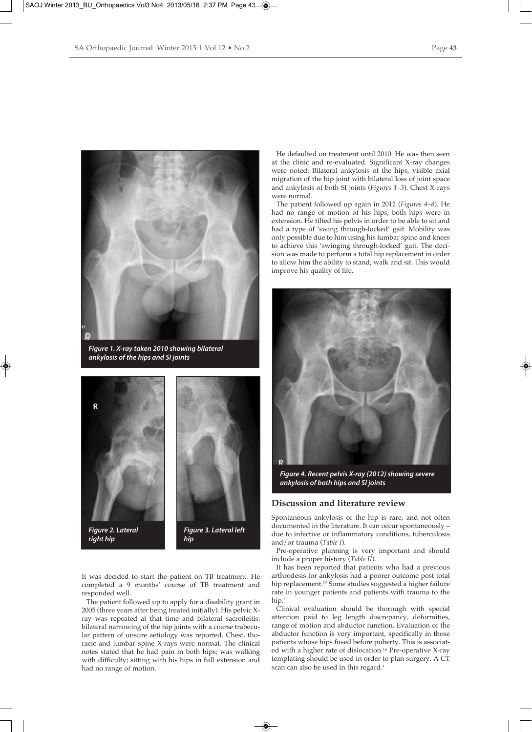

*Figure 1. X-ray taken 2010 showing bilateral ankylosis of the hips and SI joints*



*right hip*



*hip*

It was decided to start the patient on TB treatment. He completed a 9 months' course of TB treatment and responded well.

The patient followed up to apply for a disability grant in 2005 (three years after being treated initially). His pelvic Xray was repeated at that time and bilateral sacroileitis: bilateral narrowing of the hip joints with a coarse trabecular pattern of unsure aetiology was reported. Chest, thoracic and lumbar spine X-rays were normal. The clinical notes stated that he had pain in both hips; was walking with difficulty; sitting with his hips in full extension and had no range of motion.

He defaulted on treatment until 2010. He was then seen at the clinic and re-evaluated. Significant X-ray changes were noted: Bilateral ankylosis of the hips, visible axial migration of the hip joint with bilateral loss of joint space and ankylosis of both SI joints (*Figures 1–3*). Chest X-rays were normal.

The patient followed up again in 2012 (*Figures 4–8*). He had no range of motion of his hips; both hips were in extension. He tilted his pelvis in order to be able to sit and had a type of 'swing through-locked' gait. Mobility was only possible due to him using his lumbar spine and knees to achieve this 'swinging through-locked' gait. The decision was made to perform a total hip replacement in order to allow him the ability to stand, walk and sit. This would improve his quality of life.



*Figure 4. Recent pelvis X-ray (2012) showing severe ankylosis of both hips and SI joints*

#### **Discussion and literature review**

Spontaneous ankylosis of the hip is rare, and not often documented in the literature. It can occur spontaneously – due to infective or inflammatory conditions, tuberculosis and/or trauma (*Table I*).

Pre-operative planning is very important and should include a proper history (*Table II*).

It has been reported that patients who had a previous arthrodesis for ankylosis had a poorer outcome post total hip replacement.<sup>3,7</sup> Some studies suggested a higher failure rate in younger patients and patients with trauma to the hip.<sup>3</sup>

Clinical evaluation should be thorough with special attention paid to leg length discrepancy, deformities, range of motion and abductor function. Evaluation of the abductor function is very important, specifically in those patients whose hips fused before puberty. This is associated with a higher rate of dislocation.<sup>1,6</sup> Pre-operative X-ray templating should be used in order to plan surgery. A CT scan can also be used in this regard.4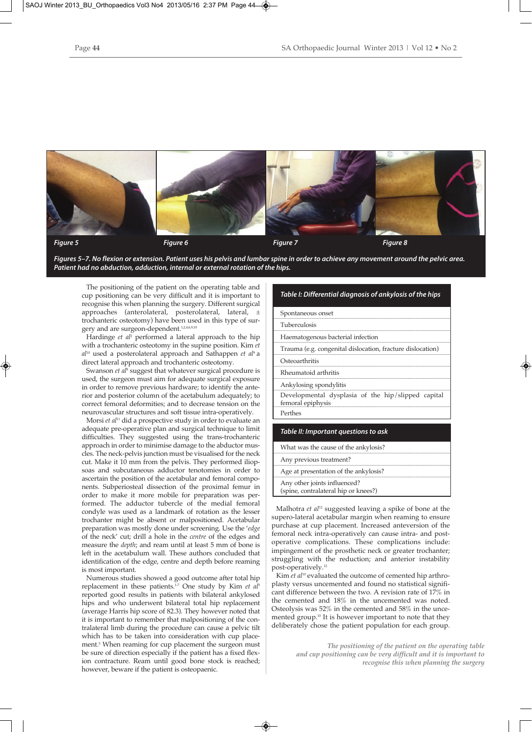

*Figures 5–7. No flexion or extension. Patient uses his pelvis and lumbar spine in order to achieve any movement around the pelvic area. Patient had no abduction, adduction, internal or external rotation of the hips.*

The positioning of the patient on the operating table and cup positioning can be very difficult and it is important to recognise this when planning the surgery. Different surgical approaches (anterolateral, posterolateral, lateral, ± trochanteric osteotomy) have been used in this type of surgery and are surgeon-dependent.<sup>1,2,4,6,9,10</sup>

Hardinge *et al*<sup>2</sup> performed a lateral approach to the hip with a trochanteric osteotomy in the supine position. Kim *et al*<sup>10</sup> used a posterolateral approach and Sathappen *et al*9 a direct lateral approach and trochanteric osteotomy.

Swanson *et al<sup>8</sup>* suggest that whatever surgical procedure is used, the surgeon must aim for adequate surgical exposure in order to remove previous hardware; to identify the anterior and posterior column of the acetabulum adequately; to correct femoral deformities; and to decrease tension on the neurovascular structures and soft tissue intra-operatively.

Morsi *et al*<sup>11</sup> did a prospective study in order to evaluate an adequate pre-operative plan and surgical technique to limit difficulties. They suggested using the trans-trochanteric approach in order to minimise damage to the abductor muscles. The neck-pelvis junction must be visualised for the neck cut. Make it 10 mm from the pelvis. They performed iliopsoas and subcutaneous adductor tenotomies in order to ascertain the position of the acetabular and femoral components. Subperiosteal dissection of the proximal femur in order to make it more mobile for preparation was performed. The adductor tubercle of the medial femoral condyle was used as a landmark of rotation as the lesser trochanter might be absent or malpositioned. Acetabular preparation was mostly done under screening. Use the '*edge* of the neck' cut; drill a hole in the *centre* of the edges and measure the *depth*; and ream until at least 5 mm of bone is left in the acetabulum wall. These authors concluded that identification of the edge, centre and depth before reaming is most important.

Numerous studies showed a good outcome after total hip replacement in these patients.<sup>1-7</sup> One study by Kim *et al*<sup>5</sup> reported good results in patients with bilateral ankylosed hips and who underwent bilateral total hip replacement (average Harris hip score of 82.3). They however noted that it is important to remember that malpositioning of the contralateral limb during the procedure can cause a pelvic tilt which has to be taken into consideration with cup placement.<sup>5</sup> When reaming for cup placement the surgeon must be sure of direction especially if the patient has a fixed flexion contracture. Ream until good bone stock is reached; however, beware if the patient is osteopaenic.

#### *Table I: Differential diagnosis of ankylosis of the hips*

Spontaneous onset

Tuberculosis

Haematogenous bacterial infection

Trauma (e.g. congenital dislocation, fracture dislocation)

**Osteoarthritis** 

Rheumatoid arthritis

Ankylosing spondylitis

Developmental dysplasia of the hip/slipped capital femoral epiphysis Perthes

#### *Table II: Important questions to ask*

| What was the cause of the ankylosis?                                 |
|----------------------------------------------------------------------|
| Any previous treatment?                                              |
| Age at presentation of the ankylosis?                                |
| Any other joints influenced?<br>(spine, contralateral hip or knees?) |

Malhotra *et al*<sup>12</sup> suggested leaving a spike of bone at the supero-lateral acetabular margin when reaming to ensure purchase at cup placement. Increased anteversion of the femoral neck intra-operatively can cause intra- and postoperative complications. These complications include: impingement of the prosthetic neck or greater trochanter; struggling with the reduction; and anterior instability post-operatively.<sup>12</sup>

Kim *et al*<sup>10</sup> evaluated the outcome of cemented hip arthroplasty versus uncemented and found no statistical significant difference between the two. A revision rate of 17% in the cemented and 18% in the uncemented was noted. Osteolysis was 52% in the cemented and 58% in the uncemented group.10 It is however important to note that they deliberately chose the patient population for each group.

> *The positioning of the patient on the operating table and cup positioning can be very difficult and it is important to recognise this when planning the surgery*